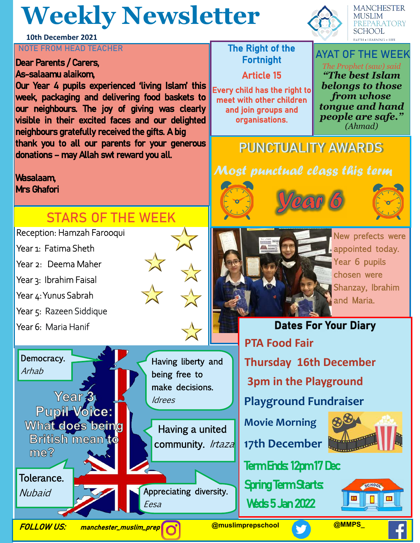# **Weekly Newsletter**



**MANCHESTER MUSLIM EPARATORY SCHOOL** 

### **NOTE FROM HEAD TEACHER** THE RIGHT THE Right of the

#### Dear Parents / Carers, As-salaamu alaikom,

**10th December 2021**

Our Year 4 pupils experienced 'living Islam' this week, packaging and delivering food baskets to our neighbours. The joy of giving was clearly visible in their excited faces and our delighted neighbours gratefully received the gifts. A big thank you to all our parents for your generous donations – may Allah swt reward you all.

#### Wasalaam, Mrs Ghafori

## **STARS OF THE WEEK**

#### Reception: Hamzah Farooqui

- Year 1: Fatima Sheth
- Year 2: Deema Maher
- Year 3: Ibrahim Faisal
- Year 4: Yunus Sabrah
- Year 5: Razeen Siddique

Year<sub>3</sub>

**British mean to** 

Year 6: Maria Hanif

Democracy.

Arhab



 Having a united community. Irtaza



# Fortnight

### Article 15

Every child has the right to meet with other children and join groups and organisations.

#### **AYAT OF THE WEEK** *The Prophet (saw) said "The best Islam belongs to those from whose*

*tongue and hand people are safe." (Ahmad)*

## **PUNCTUALITY AWARDS**

### Most punctual class this term







New prefects were appointed today. Year 6 pupils chosen were Shanzay, Ibrahim and Maria.

## **Dates For Your Diary PTA Food Fair Thursday 16th December 3pm in the Playground Playground Fundraiser Movie Morning 17th December** Term Ends: 12pm 17 Dec

**Spring Term Starts:** Weds 5 Jan 2022



Tolerance.

 $ma2$ 

**Nubaid** 

FOLLOW US: manchester\_muslim\_prep **@muslimprepschool @MMPS\_**